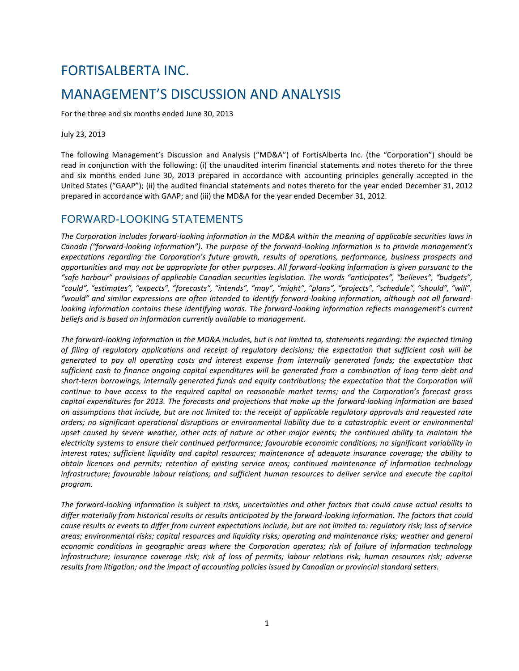# FORTISALBERTA INC. MANAGEMENT'S DISCUSSION AND ANALYSIS

For the three and six months ended June 30, 2013

July 23, 2013

The following Management's Discussion and Analysis ("MD&A") of FortisAlberta Inc. (the "Corporation") should be read in conjunction with the following: (i) the unaudited interim financial statements and notes thereto for the three and six months ended June 30, 2013 prepared in accordance with accounting principles generally accepted in the United States ("GAAP"); (ii) the audited financial statements and notes thereto for the year ended December 31, 2012 prepared in accordance with GAAP; and (iii) the MD&A for the year ended December 31, 2012.

# FORWARD-LOOKING STATEMENTS

The Corporation includes forward-looking information in the MD&A within the meaning of applicable securities laws in *Canada ("forward-looking information"). The purpose of the forward-looking information is to provide management's expectations regarding the Corporation's future growth, results of operations, performance, business prospects and opportunities and may not be appropriate for other purposes. All forward-looking information is given pursuant to the "safe harbour" provisions of applicable Canadian securities legislation. The words "anticipates", "believes", "budgets", "could", "estimates", "expects", "forecasts", "intends", "may", "might", "plans", "projects", "schedule", "should", "will", "would" and similar expressions are often intended to identify forward-looking information, although not all forwardlooking information contains these identifying words. The forward-looking information reflects management's current beliefs and is based on information currently available to management.*

*The forward-looking information in the MD&A includes, but is not limited to, statements regarding: the expected timing of filing of regulatory applications and receipt of regulatory decisions; the expectation that sufficient cash will be generated to pay all operating costs and interest expense from internally generated funds; the expectation that sufficient cash to finance ongoing capital expenditures will be generated from a combination of long-term debt and short-term borrowings, internally generated funds and equity contributions; the expectation that the Corporation will continue to have access to the required capital on reasonable market terms; and the Corporation's forecast gross capital expenditures for 2013. The forecasts and projections that make up the forward-looking information are based on assumptions that include, but are not limited to: the receipt of applicable regulatory approvals and requested rate orders; no significant operational disruptions or environmental liability due to a catastrophic event or environmental upset caused by severe weather, other acts of nature or other major events; the continued ability to maintain the electricity systems to ensure their continued performance; favourable economic conditions; no significant variability in interest rates; sufficient liquidity and capital resources; maintenance of adequate insurance coverage; the ability to obtain licences and permits; retention of existing service areas; continued maintenance of information technology infrastructure; favourable labour relations; and sufficient human resources to deliver service and execute the capital program.* 

*The forward-looking information is subject to risks, uncertainties and other factors that could cause actual results to differ materially from historical results or results anticipated by the forward-looking information. The factors that could cause results or events to differ from current expectations include, but are not limited to: regulatory risk; loss of service areas; environmental risks; capital resources and liquidity risks; operating and maintenance risks; weather and general economic conditions in geographic areas where the Corporation operates; risk of failure of information technology infrastructure; insurance coverage risk; risk of loss of permits; labour relations risk; human resources risk; adverse results from litigation; and the impact of accounting policies issued by Canadian or provincial standard setters.*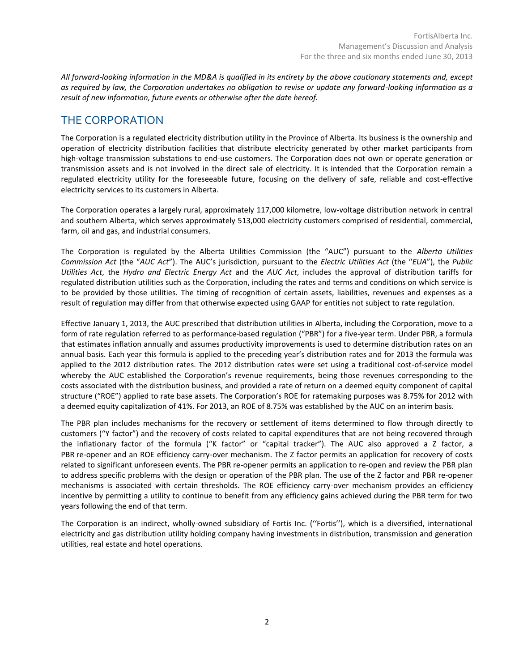*All forward-looking information in the MD&A is qualified in its entirety by the above cautionary statements and, except as required by law, the Corporation undertakes no obligation to revise or update any forward-looking information as a result of new information, future events or otherwise after the date hereof.*

# THE CORPORATION

The Corporation is a regulated electricity distribution utility in the Province of Alberta. Its business is the ownership and operation of electricity distribution facilities that distribute electricity generated by other market participants from high-voltage transmission substations to end-use customers. The Corporation does not own or operate generation or transmission assets and is not involved in the direct sale of electricity. It is intended that the Corporation remain a regulated electricity utility for the foreseeable future, focusing on the delivery of safe, reliable and cost-effective electricity services to its customers in Alberta.

The Corporation operates a largely rural, approximately 117,000 kilometre, low-voltage distribution network in central and southern Alberta, which serves approximately 513,000 electricity customers comprised of residential, commercial, farm, oil and gas, and industrial consumers.

The Corporation is regulated by the Alberta Utilities Commission (the "AUC") pursuant to the *Alberta Utilities Commission Act* (the "*AUC Act*"). The AUC's jurisdiction, pursuant to the *Electric Utilities Act* (the "*EUA*"), the *Public Utilities Act*, the *Hydro and Electric Energy Act* and the *AUC Act*, includes the approval of distribution tariffs for regulated distribution utilities such as the Corporation, including the rates and terms and conditions on which service is to be provided by those utilities. The timing of recognition of certain assets, liabilities, revenues and expenses as a result of regulation may differ from that otherwise expected using GAAP for entities not subject to rate regulation.

Effective January 1, 2013, the AUC prescribed that distribution utilities in Alberta, including the Corporation, move to a form of rate regulation referred to as performance-based regulation ("PBR") for a five-year term. Under PBR, a formula that estimates inflation annually and assumes productivity improvements is used to determine distribution rates on an annual basis. Each year this formula is applied to the preceding year's distribution rates and for 2013 the formula was applied to the 2012 distribution rates. The 2012 distribution rates were set using a traditional cost-of-service model whereby the AUC established the Corporation's revenue requirements, being those revenues corresponding to the costs associated with the distribution business, and provided a rate of return on a deemed equity component of capital structure ("ROE") applied to rate base assets. The Corporation's ROE for ratemaking purposes was 8.75% for 2012 with a deemed equity capitalization of 41%. For 2013, an ROE of 8.75% was established by the AUC on an interim basis.

The PBR plan includes mechanisms for the recovery or settlement of items determined to flow through directly to customers ("Y factor") and the recovery of costs related to capital expenditures that are not being recovered through the inflationary factor of the formula ("K factor" or "capital tracker"). The AUC also approved a Z factor, a PBR re-opener and an ROE efficiency carry-over mechanism. The Z factor permits an application for recovery of costs related to significant unforeseen events. The PBR re-opener permits an application to re-open and review the PBR plan to address specific problems with the design or operation of the PBR plan. The use of the Z factor and PBR re-opener mechanisms is associated with certain thresholds. The ROE efficiency carry-over mechanism provides an efficiency incentive by permitting a utility to continue to benefit from any efficiency gains achieved during the PBR term for two years following the end of that term.

The Corporation is an indirect, wholly-owned subsidiary of Fortis Inc. (''Fortis''), which is a diversified, international electricity and gas distribution utility holding company having investments in distribution, transmission and generation utilities, real estate and hotel operations.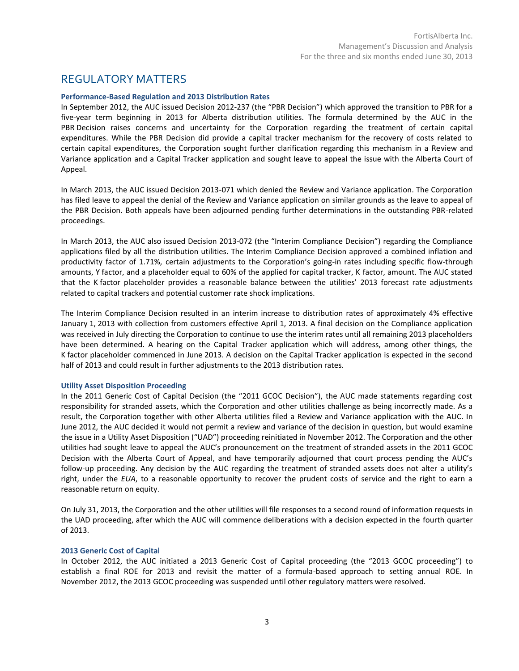# REGULATORY MATTERS

## **Performance-Based Regulation and 2013 Distribution Rates**

In September 2012, the AUC issued Decision 2012-237 (the "PBR Decision") which approved the transition to PBR for a five-year term beginning in 2013 for Alberta distribution utilities. The formula determined by the AUC in the PBR Decision raises concerns and uncertainty for the Corporation regarding the treatment of certain capital expenditures. While the PBR Decision did provide a capital tracker mechanism for the recovery of costs related to certain capital expenditures, the Corporation sought further clarification regarding this mechanism in a Review and Variance application and a Capital Tracker application and sought leave to appeal the issue with the Alberta Court of Appeal.

In March 2013, the AUC issued Decision 2013-071 which denied the Review and Variance application. The Corporation has filed leave to appeal the denial of the Review and Variance application on similar grounds as the leave to appeal of the PBR Decision. Both appeals have been adjourned pending further determinations in the outstanding PBR-related proceedings.

In March 2013, the AUC also issued Decision 2013-072 (the "Interim Compliance Decision") regarding the Compliance applications filed by all the distribution utilities. The Interim Compliance Decision approved a combined inflation and productivity factor of 1.71%, certain adjustments to the Corporation's going-in rates including specific flow-through amounts, Y factor, and a placeholder equal to 60% of the applied for capital tracker, K factor, amount. The AUC stated that the K factor placeholder provides a reasonable balance between the utilities' 2013 forecast rate adjustments related to capital trackers and potential customer rate shock implications.

The Interim Compliance Decision resulted in an interim increase to distribution rates of approximately 4% effective January 1, 2013 with collection from customers effective April 1, 2013. A final decision on the Compliance application was received in July directing the Corporation to continue to use the interim rates until all remaining 2013 placeholders have been determined. A hearing on the Capital Tracker application which will address, among other things, the K factor placeholder commenced in June 2013. A decision on the Capital Tracker application is expected in the second half of 2013 and could result in further adjustments to the 2013 distribution rates.

## **Utility Asset Disposition Proceeding**

In the 2011 Generic Cost of Capital Decision (the "2011 GCOC Decision"), the AUC made statements regarding cost responsibility for stranded assets, which the Corporation and other utilities challenge as being incorrectly made. As a result, the Corporation together with other Alberta utilities filed a Review and Variance application with the AUC. In June 2012, the AUC decided it would not permit a review and variance of the decision in question, but would examine the issue in a Utility Asset Disposition ("UAD") proceeding reinitiated in November 2012. The Corporation and the other utilities had sought leave to appeal the AUC's pronouncement on the treatment of stranded assets in the 2011 GCOC Decision with the Alberta Court of Appeal, and have temporarily adjourned that court process pending the AUC's follow-up proceeding. Any decision by the AUC regarding the treatment of stranded assets does not alter a utility's right, under the *EUA*, to a reasonable opportunity to recover the prudent costs of service and the right to earn a reasonable return on equity.

On July 31, 2013, the Corporation and the other utilities will file responses to a second round of information requests in the UAD proceeding, after which the AUC will commence deliberations with a decision expected in the fourth quarter of 2013.

## **2013 Generic Cost of Capital**

In October 2012, the AUC initiated a 2013 Generic Cost of Capital proceeding (the "2013 GCOC proceeding") to establish a final ROE for 2013 and revisit the matter of a formula-based approach to setting annual ROE. In November 2012, the 2013 GCOC proceeding was suspended until other regulatory matters were resolved.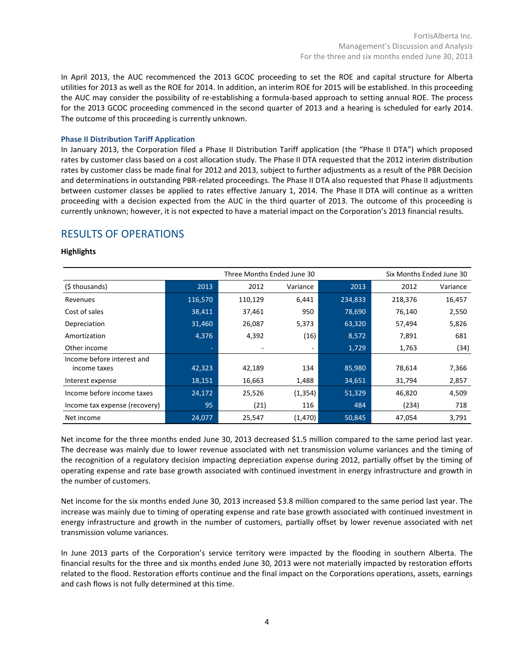In April 2013, the AUC recommenced the 2013 GCOC proceeding to set the ROE and capital structure for Alberta utilities for 2013 as well as the ROE for 2014. In addition, an interim ROE for 2015 will be established. In this proceeding the AUC may consider the possibility of re-establishing a formula-based approach to setting annual ROE. The process for the 2013 GCOC proceeding commenced in the second quarter of 2013 and a hearing is scheduled for early 2014. The outcome of this proceeding is currently unknown.

# **Phase II Distribution Tariff Application**

In January 2013, the Corporation filed a Phase II Distribution Tariff application (the "Phase II DTA") which proposed rates by customer class based on a cost allocation study. The Phase II DTA requested that the 2012 interim distribution rates by customer class be made final for 2012 and 2013, subject to further adjustments as a result of the PBR Decision and determinations in outstanding PBR-related proceedings. The Phase II DTA also requested that Phase II adjustments between customer classes be applied to rates effective January 1, 2014. The Phase II DTA will continue as a written proceeding with a decision expected from the AUC in the third quarter of 2013. The outcome of this proceeding is currently unknown; however, it is not expected to have a material impact on the Corporation's 2013 financial results.

# RESULTS OF OPERATIONS

# **Highlights**

|                               | Three Months Ended June 30 |                          |          |         |         | Six Months Ended June 30 |
|-------------------------------|----------------------------|--------------------------|----------|---------|---------|--------------------------|
| (\$ thousands)                | 2013                       | 2012                     | Variance | 2013    | 2012    | Variance                 |
| Revenues                      | 116,570                    | 110,129                  | 6,441    | 234,833 | 218,376 | 16,457                   |
| Cost of sales                 | 38,411                     | 37,461                   | 950      | 78,690  | 76,140  | 2,550                    |
| Depreciation                  | 31,460                     | 26,087                   | 5,373    | 63,320  | 57,494  | 5,826                    |
| Amortization                  | 4,376                      | 4,392                    | (16)     | 8,572   | 7,891   | 681                      |
| Other income                  | ٠                          | $\overline{\phantom{a}}$ | ٠        | 1,729   | 1,763   | (34)                     |
| Income before interest and    |                            |                          |          |         |         |                          |
| income taxes                  | 42,323                     | 42,189                   | 134      | 85,980  | 78,614  | 7,366                    |
| Interest expense              | 18,151                     | 16,663                   | 1,488    | 34,651  | 31,794  | 2,857                    |
| Income before income taxes    | 24,172                     | 25,526                   | (1, 354) | 51,329  | 46,820  | 4,509                    |
| Income tax expense (recovery) | 95                         | (21)                     | 116      | 484     | (234)   | 718                      |
| Net income                    | 24,077                     | 25,547                   | (1,470)  | 50,845  | 47,054  | 3,791                    |

Net income for the three months ended June 30, 2013 decreased \$1.5 million compared to the same period last year. The decrease was mainly due to lower revenue associated with net transmission volume variances and the timing of the recognition of a regulatory decision impacting depreciation expense during 2012, partially offset by the timing of operating expense and rate base growth associated with continued investment in energy infrastructure and growth in the number of customers.

Net income for the six months ended June 30, 2013 increased \$3.8 million compared to the same period last year. The increase was mainly due to timing of operating expense and rate base growth associated with continued investment in energy infrastructure and growth in the number of customers, partially offset by lower revenue associated with net transmission volume variances.

In June 2013 parts of the Corporation's service territory were impacted by the flooding in southern Alberta. The financial results for the three and six months ended June 30, 2013 were not materially impacted by restoration efforts related to the flood. Restoration efforts continue and the final impact on the Corporations operations, assets, earnings and cash flows is not fully determined at this time.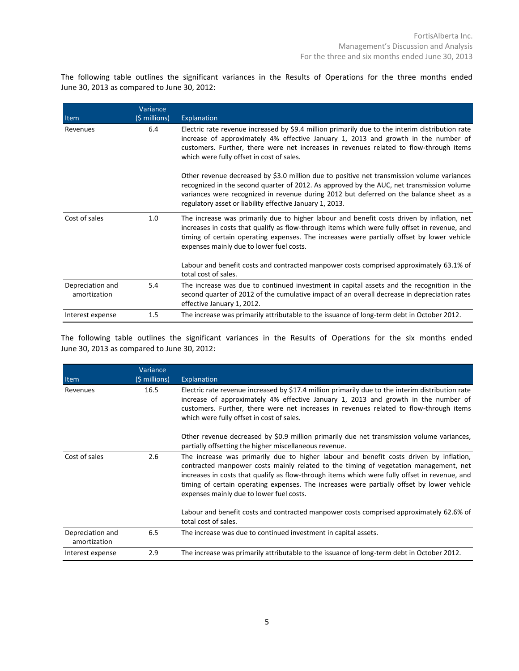The following table outlines the significant variances in the Results of Operations for the three months ended June 30, 2013 as compared to June 30, 2012:

| Item                             | Variance<br>(\$ millions) | Explanation                                                                                                                                                                                                                                                                                                                                    |
|----------------------------------|---------------------------|------------------------------------------------------------------------------------------------------------------------------------------------------------------------------------------------------------------------------------------------------------------------------------------------------------------------------------------------|
| Revenues                         | 6.4                       | Electric rate revenue increased by \$9.4 million primarily due to the interim distribution rate<br>increase of approximately 4% effective January 1, 2013 and growth in the number of<br>customers. Further, there were net increases in revenues related to flow-through items<br>which were fully offset in cost of sales.                   |
|                                  |                           | Other revenue decreased by \$3.0 million due to positive net transmission volume variances<br>recognized in the second quarter of 2012. As approved by the AUC, net transmission volume<br>variances were recognized in revenue during 2012 but deferred on the balance sheet as a<br>regulatory asset or liability effective January 1, 2013. |
| Cost of sales                    | 1.0                       | The increase was primarily due to higher labour and benefit costs driven by inflation, net<br>increases in costs that qualify as flow-through items which were fully offset in revenue, and<br>timing of certain operating expenses. The increases were partially offset by lower vehicle<br>expenses mainly due to lower fuel costs.          |
|                                  |                           | Labour and benefit costs and contracted manpower costs comprised approximately 63.1% of<br>total cost of sales.                                                                                                                                                                                                                                |
| Depreciation and<br>amortization | 5.4                       | The increase was due to continued investment in capital assets and the recognition in the<br>second quarter of 2012 of the cumulative impact of an overall decrease in depreciation rates<br>effective January 1, 2012.                                                                                                                        |
| Interest expense                 | $1.5\,$                   | The increase was primarily attributable to the issuance of long-term debt in October 2012.                                                                                                                                                                                                                                                     |

The following table outlines the significant variances in the Results of Operations for the six months ended June 30, 2013 as compared to June 30, 2012:

|                                  | Variance      |                                                                                                                                                                                                                                                                                                                                                                                                                           |
|----------------------------------|---------------|---------------------------------------------------------------------------------------------------------------------------------------------------------------------------------------------------------------------------------------------------------------------------------------------------------------------------------------------------------------------------------------------------------------------------|
| Item                             | (\$ millions) | Explanation                                                                                                                                                                                                                                                                                                                                                                                                               |
| Revenues                         | 16.5          | Electric rate revenue increased by \$17.4 million primarily due to the interim distribution rate<br>increase of approximately 4% effective January 1, 2013 and growth in the number of<br>customers. Further, there were net increases in revenues related to flow-through items<br>which were fully offset in cost of sales.                                                                                             |
|                                  |               | Other revenue decreased by \$0.9 million primarily due net transmission volume variances,<br>partially offsetting the higher miscellaneous revenue.                                                                                                                                                                                                                                                                       |
| Cost of sales                    | 2.6           | The increase was primarily due to higher labour and benefit costs driven by inflation,<br>contracted manpower costs mainly related to the timing of vegetation management, net<br>increases in costs that qualify as flow-through items which were fully offset in revenue, and<br>timing of certain operating expenses. The increases were partially offset by lower vehicle<br>expenses mainly due to lower fuel costs. |
|                                  |               | Labour and benefit costs and contracted manpower costs comprised approximately 62.6% of<br>total cost of sales.                                                                                                                                                                                                                                                                                                           |
| Depreciation and<br>amortization | 6.5           | The increase was due to continued investment in capital assets.                                                                                                                                                                                                                                                                                                                                                           |
| Interest expense                 | 2.9           | The increase was primarily attributable to the issuance of long-term debt in October 2012.                                                                                                                                                                                                                                                                                                                                |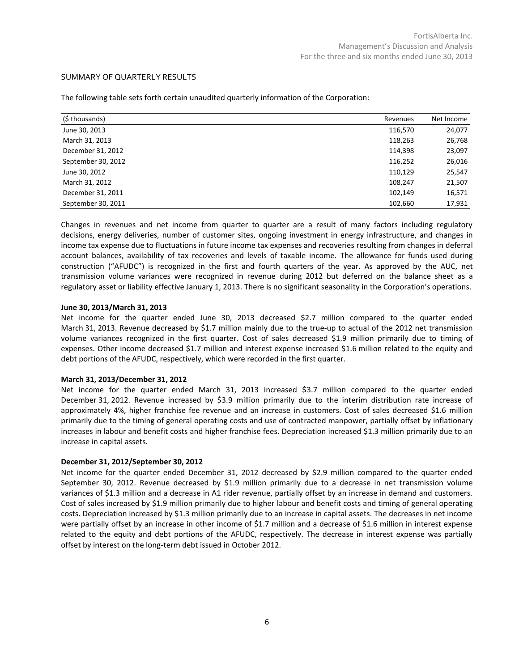# SUMMARY OF QUARTERLY RESULTS

| (\$ thousands)     | Revenues | Net Income |
|--------------------|----------|------------|
| June 30, 2013      | 116,570  | 24,077     |
| March 31, 2013     | 118,263  | 26,768     |
| December 31, 2012  | 114,398  | 23,097     |
| September 30, 2012 | 116,252  | 26,016     |
| June 30, 2012      | 110,129  | 25,547     |
| March 31, 2012     | 108,247  | 21,507     |
| December 31, 2011  | 102,149  | 16,571     |
| September 30, 2011 | 102,660  | 17,931     |

The following table sets forth certain unaudited quarterly information of the Corporation:

Changes in revenues and net income from quarter to quarter are a result of many factors including regulatory decisions, energy deliveries, number of customer sites, ongoing investment in energy infrastructure, and changes in income tax expense due to fluctuations in future income tax expenses and recoveries resulting from changes in deferral account balances, availability of tax recoveries and levels of taxable income. The allowance for funds used during construction ("AFUDC") is recognized in the first and fourth quarters of the year. As approved by the AUC, net transmission volume variances were recognized in revenue during 2012 but deferred on the balance sheet as a regulatory asset or liability effective January 1, 2013. There is no significant seasonality in the Corporation's operations.

## **June 30, 2013/March 31, 2013**

Net income for the quarter ended June 30, 2013 decreased \$2.7 million compared to the quarter ended March 31, 2013. Revenue decreased by \$1.7 million mainly due to the true-up to actual of the 2012 net transmission volume variances recognized in the first quarter. Cost of sales decreased \$1.9 million primarily due to timing of expenses. Other income decreased \$1.7 million and interest expense increased \$1.6 million related to the equity and debt portions of the AFUDC, respectively, which were recorded in the first quarter.

## **March 31, 2013/December 31, 2012**

Net income for the quarter ended March 31, 2013 increased \$3.7 million compared to the quarter ended December 31, 2012. Revenue increased by \$3.9 million primarily due to the interim distribution rate increase of approximately 4%, higher franchise fee revenue and an increase in customers. Cost of sales decreased \$1.6 million primarily due to the timing of general operating costs and use of contracted manpower, partially offset by inflationary increases in labour and benefit costs and higher franchise fees. Depreciation increased \$1.3 million primarily due to an increase in capital assets.

## **December 31, 2012/September 30, 2012**

Net income for the quarter ended December 31, 2012 decreased by \$2.9 million compared to the quarter ended September 30, 2012. Revenue decreased by \$1.9 million primarily due to a decrease in net transmission volume variances of \$1.3 million and a decrease in A1 rider revenue, partially offset by an increase in demand and customers. Cost of sales increased by \$1.9 million primarily due to higher labour and benefit costs and timing of general operating costs. Depreciation increased by \$1.3 million primarily due to an increase in capital assets. The decreases in net income were partially offset by an increase in other income of \$1.7 million and a decrease of \$1.6 million in interest expense related to the equity and debt portions of the AFUDC, respectively. The decrease in interest expense was partially offset by interest on the long-term debt issued in October 2012.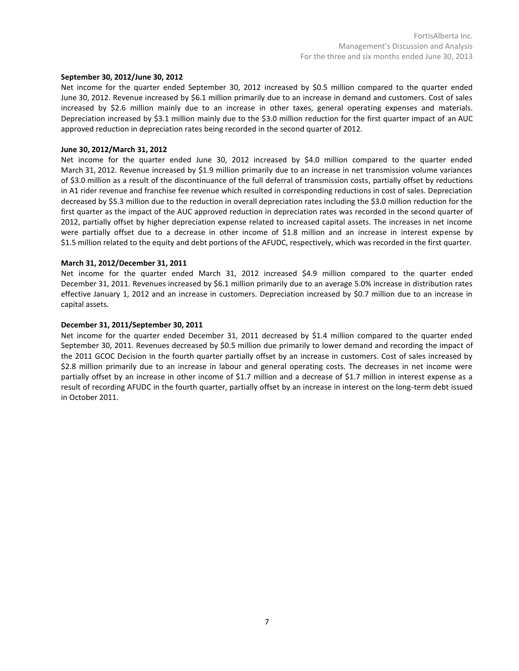## **September 30, 2012/June 30, 2012**

Net income for the quarter ended September 30, 2012 increased by \$0.5 million compared to the quarter ended June 30, 2012. Revenue increased by \$6.1 million primarily due to an increase in demand and customers. Cost of sales increased by \$2.6 million mainly due to an increase in other taxes, general operating expenses and materials. Depreciation increased by \$3.1 million mainly due to the \$3.0 million reduction for the first quarter impact of an AUC approved reduction in depreciation rates being recorded in the second quarter of 2012.

## **June 30, 2012/March 31, 2012**

Net income for the quarter ended June 30, 2012 increased by \$4.0 million compared to the quarter ended March 31, 2012. Revenue increased by \$1.9 million primarily due to an increase in net transmission volume variances of \$3.0 million as a result of the discontinuance of the full deferral of transmission costs, partially offset by reductions in A1 rider revenue and franchise fee revenue which resulted in corresponding reductions in cost of sales. Depreciation decreased by \$5.3 million due to the reduction in overall depreciation rates including the \$3.0 million reduction for the first quarter as the impact of the AUC approved reduction in depreciation rates was recorded in the second quarter of 2012, partially offset by higher depreciation expense related to increased capital assets. The increases in net income were partially offset due to a decrease in other income of \$1.8 million and an increase in interest expense by \$1.5 million related to the equity and debt portions of the AFUDC, respectively, which was recorded in the first quarter.

## **March 31, 2012/December 31, 2011**

Net income for the quarter ended March 31, 2012 increased \$4.9 million compared to the quarter ended December 31, 2011. Revenues increased by \$6.1 million primarily due to an average 5.0% increase in distribution rates effective January 1, 2012 and an increase in customers. Depreciation increased by \$0.7 million due to an increase in capital assets.

## **December 31, 2011/September 30, 2011**

Net income for the quarter ended December 31, 2011 decreased by \$1.4 million compared to the quarter ended September 30, 2011. Revenues decreased by \$0.5 million due primarily to lower demand and recording the impact of the 2011 GCOC Decision in the fourth quarter partially offset by an increase in customers. Cost of sales increased by \$2.8 million primarily due to an increase in labour and general operating costs. The decreases in net income were partially offset by an increase in other income of \$1.7 million and a decrease of \$1.7 million in interest expense as a result of recording AFUDC in the fourth quarter, partially offset by an increase in interest on the long-term debt issued in October 2011.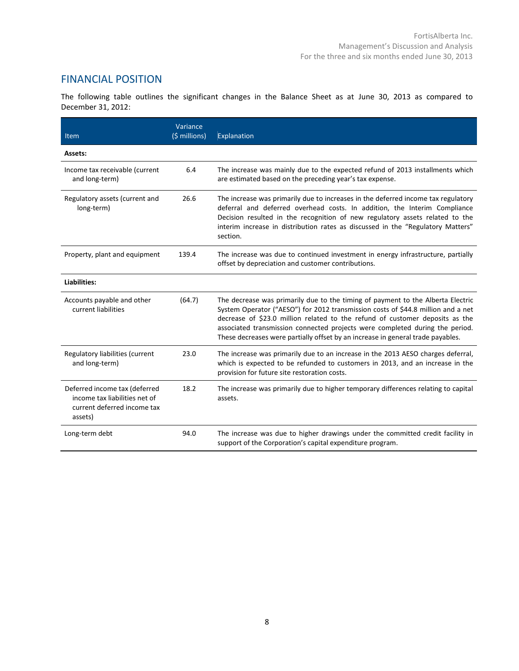# FINANCIAL POSITION

The following table outlines the significant changes in the Balance Sheet as at June 30, 2013 as compared to December 31, 2012:

| Item                                                                                                     | Variance<br>(\$ millions) | Explanation                                                                                                                                                                                                                                                                                                                                                                                                            |
|----------------------------------------------------------------------------------------------------------|---------------------------|------------------------------------------------------------------------------------------------------------------------------------------------------------------------------------------------------------------------------------------------------------------------------------------------------------------------------------------------------------------------------------------------------------------------|
| Assets:                                                                                                  |                           |                                                                                                                                                                                                                                                                                                                                                                                                                        |
| Income tax receivable (current<br>and long-term)                                                         | 6.4                       | The increase was mainly due to the expected refund of 2013 installments which<br>are estimated based on the preceding year's tax expense.                                                                                                                                                                                                                                                                              |
| Regulatory assets (current and<br>long-term)                                                             | 26.6                      | The increase was primarily due to increases in the deferred income tax regulatory<br>deferral and deferred overhead costs. In addition, the Interim Compliance<br>Decision resulted in the recognition of new regulatory assets related to the<br>interim increase in distribution rates as discussed in the "Regulatory Matters"<br>section.                                                                          |
| Property, plant and equipment                                                                            | 139.4                     | The increase was due to continued investment in energy infrastructure, partially<br>offset by depreciation and customer contributions.                                                                                                                                                                                                                                                                                 |
| Liabilities:                                                                                             |                           |                                                                                                                                                                                                                                                                                                                                                                                                                        |
| Accounts payable and other<br>current liabilities                                                        | (64.7)                    | The decrease was primarily due to the timing of payment to the Alberta Electric<br>System Operator ("AESO") for 2012 transmission costs of \$44.8 million and a net<br>decrease of \$23.0 million related to the refund of customer deposits as the<br>associated transmission connected projects were completed during the period.<br>These decreases were partially offset by an increase in general trade payables. |
| Regulatory liabilities (current<br>and long-term)                                                        | 23.0                      | The increase was primarily due to an increase in the 2013 AESO charges deferral,<br>which is expected to be refunded to customers in 2013, and an increase in the<br>provision for future site restoration costs.                                                                                                                                                                                                      |
| Deferred income tax (deferred<br>income tax liabilities net of<br>current deferred income tax<br>assets) | 18.2                      | The increase was primarily due to higher temporary differences relating to capital<br>assets.                                                                                                                                                                                                                                                                                                                          |
| Long-term debt                                                                                           | 94.0                      | The increase was due to higher drawings under the committed credit facility in<br>support of the Corporation's capital expenditure program.                                                                                                                                                                                                                                                                            |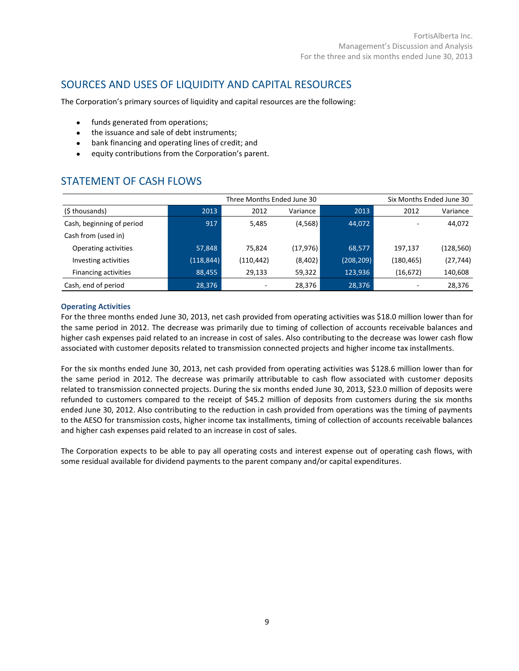# SOURCES AND USES OF LIQUIDITY AND CAPITAL RESOURCES

The Corporation's primary sources of liquidity and capital resources are the following:

- funds generated from operations;
- the issuance and sale of debt instruments;
- bank financing and operating lines of credit; and
- equity contributions from the Corporation's parent.

# STATEMENT OF CASH FLOWS

| Three Months Ended June 30  |            |           |           |            |            | Six Months Ended June 30 |
|-----------------------------|------------|-----------|-----------|------------|------------|--------------------------|
| (\$ thousands)              | 2013       | 2012      | Variance  | 2013       | 2012       | Variance                 |
| Cash, beginning of period   | 917        | 5,485     | (4,568)   | 44,072     |            | 44,072                   |
| Cash from (used in)         |            |           |           |            |            |                          |
| Operating activities        | 57,848     | 75.824    | (17, 976) | 68,577     | 197,137    | (128, 560)               |
| Investing activities        | (118, 844) | (110,442) | (8,402)   | (208, 209) | (180, 465) | (27, 744)                |
| <b>Financing activities</b> | 88,455     | 29,133    | 59,322    | 123,936    | (16, 672)  | 140,608                  |
| Cash, end of period         | 28,376     |           | 28,376    | 28,376     |            | 28,376                   |

# **Operating Activities**

For the three months ended June 30, 2013, net cash provided from operating activities was \$18.0 million lower than for the same period in 2012. The decrease was primarily due to timing of collection of accounts receivable balances and higher cash expenses paid related to an increase in cost of sales. Also contributing to the decrease was lower cash flow associated with customer deposits related to transmission connected projects and higher income tax installments.

For the six months ended June 30, 2013, net cash provided from operating activities was \$128.6 million lower than for the same period in 2012. The decrease was primarily attributable to cash flow associated with customer deposits related to transmission connected projects. During the six months ended June 30, 2013, \$23.0 million of deposits were refunded to customers compared to the receipt of \$45.2 million of deposits from customers during the six months ended June 30, 2012. Also contributing to the reduction in cash provided from operations was the timing of payments to the AESO for transmission costs, higher income tax installments, timing of collection of accounts receivable balances and higher cash expenses paid related to an increase in cost of sales.

The Corporation expects to be able to pay all operating costs and interest expense out of operating cash flows, with some residual available for dividend payments to the parent company and/or capital expenditures.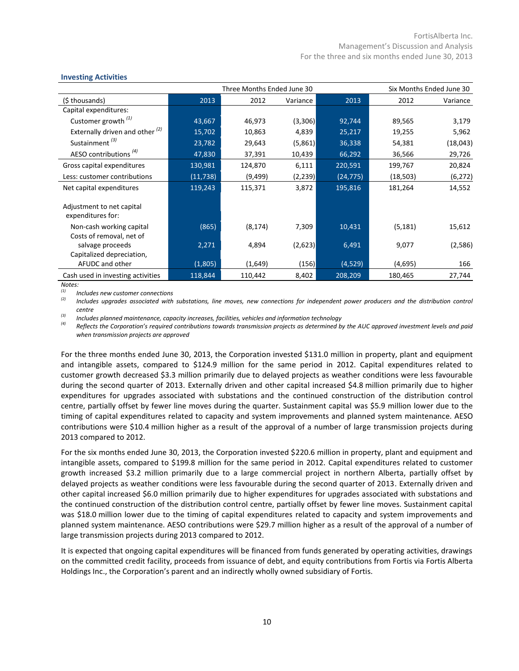| <b>INVESTING ACTIVITIES</b>                          |           |          |          |           |           |                          |
|------------------------------------------------------|-----------|----------|----------|-----------|-----------|--------------------------|
| Three Months Ended June 30                           |           |          |          |           |           | Six Months Ended June 30 |
| (\$ thousands)                                       | 2013      | 2012     | Variance | 2013      | 2012      | Variance                 |
| Capital expenditures:                                |           |          |          |           |           |                          |
| Customer growth $(1)$                                | 43,667    | 46,973   | (3,306)  | 92,744    | 89,565    | 3,179                    |
| Externally driven and other $(2)$                    | 15,702    | 10,863   | 4,839    | 25,217    | 19,255    | 5,962                    |
| Sustainment <sup>(3)</sup>                           | 23,782    | 29,643   | (5,861)  | 36,338    | 54,381    | (18, 043)                |
| AESO contributions <sup>(4)</sup>                    | 47,830    | 37,391   | 10,439   | 66,292    | 36,566    | 29,726                   |
| Gross capital expenditures                           | 130,981   | 124,870  | 6,111    | 220,591   | 199,767   | 20,824                   |
| Less: customer contributions                         | (11, 738) | (9, 499) | (2, 239) | (24, 775) | (18, 503) | (6, 272)                 |
| Net capital expenditures                             | 119,243   | 115,371  | 3,872    | 195,816   | 181,264   | 14,552                   |
| Adjustment to net capital<br>expenditures for:       |           |          |          |           |           |                          |
| Non-cash working capital<br>Costs of removal, net of | (865)     | (8, 174) | 7,309    | 10,431    | (5, 181)  | 15,612                   |
| salvage proceeds<br>Capitalized depreciation,        | 2,271     | 4,894    | (2,623)  | 6,491     | 9,077     | (2,586)                  |
| AFUDC and other                                      | (1,805)   | (1,649)  | (156)    | (4,529)   | (4,695)   | 166                      |
| Cash used in investing activities                    | 118,844   | 110,442  | 8,402    | 208,209   | 180,465   | 27,744                   |

# **Investing Activities**

*Notes:*

*(1) Includes new customer connections*

*(2) Includes upgrades associated with substations, line moves, new connections for independent power producers and the distribution control centre*

*(3) Includes planned maintenance, capacity increases, facilities, vehicles and information technology*

*(4) Reflects the Corporation's required contributions towards transmission projects as determined by the AUC approved investment levels and paid when transmission projects are approved*

For the three months ended June 30, 2013, the Corporation invested \$131.0 million in property, plant and equipment and intangible assets, compared to \$124.9 million for the same period in 2012. Capital expenditures related to customer growth decreased \$3.3 million primarily due to delayed projects as weather conditions were less favourable during the second quarter of 2013. Externally driven and other capital increased \$4.8 million primarily due to higher expenditures for upgrades associated with substations and the continued construction of the distribution control centre, partially offset by fewer line moves during the quarter. Sustainment capital was \$5.9 million lower due to the timing of capital expenditures related to capacity and system improvements and planned system maintenance. AESO contributions were \$10.4 million higher as a result of the approval of a number of large transmission projects during 2013 compared to 2012.

For the six months ended June 30, 2013, the Corporation invested \$220.6 million in property, plant and equipment and intangible assets, compared to \$199.8 million for the same period in 2012. Capital expenditures related to customer growth increased \$3.2 million primarily due to a large commercial project in northern Alberta, partially offset by delayed projects as weather conditions were less favourable during the second quarter of 2013. Externally driven and other capital increased \$6.0 million primarily due to higher expenditures for upgrades associated with substations and the continued construction of the distribution control centre, partially offset by fewer line moves. Sustainment capital was \$18.0 million lower due to the timing of capital expenditures related to capacity and system improvements and planned system maintenance. AESO contributions were \$29.7 million higher as a result of the approval of a number of large transmission projects during 2013 compared to 2012.

It is expected that ongoing capital expenditures will be financed from funds generated by operating activities, drawings on the committed credit facility, proceeds from issuance of debt, and equity contributions from Fortis via Fortis Alberta Holdings Inc., the Corporation's parent and an indirectly wholly owned subsidiary of Fortis.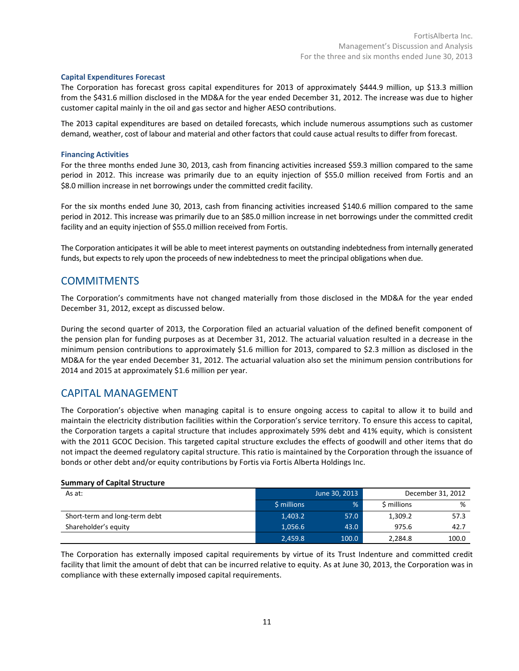# **Capital Expenditures Forecast**

The Corporation has forecast gross capital expenditures for 2013 of approximately \$444.9 million, up \$13.3 million from the \$431.6 million disclosed in the MD&A for the year ended December 31, 2012. The increase was due to higher customer capital mainly in the oil and gas sector and higher AESO contributions.

The 2013 capital expenditures are based on detailed forecasts, which include numerous assumptions such as customer demand, weather, cost of labour and material and other factors that could cause actual results to differ from forecast.

# **Financing Activities**

For the three months ended June 30, 2013, cash from financing activities increased \$59.3 million compared to the same period in 2012. This increase was primarily due to an equity injection of \$55.0 million received from Fortis and an \$8.0 million increase in net borrowings under the committed credit facility.

For the six months ended June 30, 2013, cash from financing activities increased \$140.6 million compared to the same period in 2012. This increase was primarily due to an \$85.0 million increase in net borrowings under the committed credit facility and an equity injection of \$55.0 million received from Fortis.

The Corporation anticipates it will be able to meet interest payments on outstanding indebtedness from internally generated funds, but expects to rely upon the proceeds of new indebtedness to meet the principal obligations when due.

# **COMMITMENTS**

The Corporation's commitments have not changed materially from those disclosed in the MD&A for the year ended December 31, 2012, except as discussed below.

During the second quarter of 2013, the Corporation filed an actuarial valuation of the defined benefit component of the pension plan for funding purposes as at December 31, 2012. The actuarial valuation resulted in a decrease in the minimum pension contributions to approximately \$1.6 million for 2013, compared to \$2.3 million as disclosed in the MD&A for the year ended December 31, 2012. The actuarial valuation also set the minimum pension contributions for 2014 and 2015 at approximately \$1.6 million per year.

# CAPITAL MANAGEMENT

The Corporation's objective when managing capital is to ensure ongoing access to capital to allow it to build and maintain the electricity distribution facilities within the Corporation's service territory. To ensure this access to capital, the Corporation targets a capital structure that includes approximately 59% debt and 41% equity, which is consistent with the 2011 GCOC Decision. This targeted capital structure excludes the effects of goodwill and other items that do not impact the deemed regulatory capital structure. This ratio is maintained by the Corporation through the issuance of bonds or other debt and/or equity contributions by Fortis via Fortis Alberta Holdings Inc.

## **Summary of Capital Structure**

| As at:                        |             | June 30, 2013 | December 31, 2012 |       |
|-------------------------------|-------------|---------------|-------------------|-------|
|                               | \$ millions | $\frac{9}{6}$ | \$ millions       | %     |
| Short-term and long-term debt | 1,403.2     | 57.0          | 1,309.2           | 57.3  |
| Shareholder's equity          | 1.056.6     | 43.0          | 975.6             | 42.7  |
|                               | 2,459.8     | 100.0         | 2,284.8           | 100.0 |

The Corporation has externally imposed capital requirements by virtue of its Trust Indenture and committed credit facility that limit the amount of debt that can be incurred relative to equity. As at June 30, 2013, the Corporation was in compliance with these externally imposed capital requirements.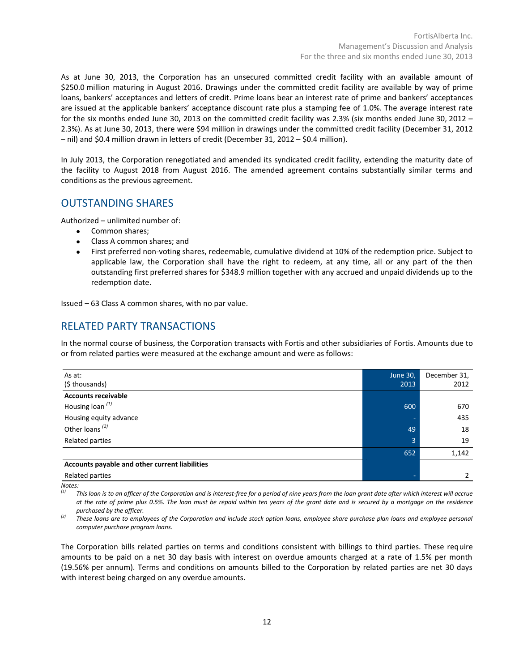As at June 30, 2013, the Corporation has an unsecured committed credit facility with an available amount of \$250.0 million maturing in August 2016. Drawings under the committed credit facility are available by way of prime loans, bankers' acceptances and letters of credit. Prime loans bear an interest rate of prime and bankers' acceptances are issued at the applicable bankers' acceptance discount rate plus a stamping fee of 1.0%. The average interest rate for the six months ended June 30, 2013 on the committed credit facility was 2.3% (six months ended June 30, 2012 – 2.3%). As at June 30, 2013, there were \$94 million in drawings under the committed credit facility (December 31, 2012 – nil) and \$0.4 million drawn in letters of credit (December 31, 2012 – \$0.4 million).

In July 2013, the Corporation renegotiated and amended its syndicated credit facility, extending the maturity date of the facility to August 2018 from August 2016. The amended agreement contains substantially similar terms and conditions as the previous agreement.

# OUTSTANDING SHARES

Authorized – unlimited number of:

- Common shares;
- Class A common shares; and
- First preferred non-voting shares, redeemable, cumulative dividend at 10% of the redemption price. Subject to applicable law, the Corporation shall have the right to redeem, at any time, all or any part of the then outstanding first preferred shares for \$348.9 million together with any accrued and unpaid dividends up to the redemption date.

Issued – 63 Class A common shares, with no par value.

# RELATED PARTY TRANSACTIONS

In the normal course of business, the Corporation transacts with Fortis and other subsidiaries of Fortis. Amounts due to or from related parties were measured at the exchange amount and were as follows:

| As at:                                         | <b>June 30,</b> | December 31, |
|------------------------------------------------|-----------------|--------------|
| (\$ thousands)                                 | 2013            | 2012         |
| <b>Accounts receivable</b>                     |                 |              |
| Housing loan <sup>(1)</sup>                    | 600             | 670          |
| Housing equity advance                         |                 | 435          |
| Other loans <sup>(2)</sup>                     | 49              | 18           |
| Related parties                                | $\overline{3}$  | 19           |
|                                                | 652             | 1,142        |
| Accounts payable and other current liabilities |                 |              |
| Related parties                                |                 |              |

*Notes:*

This loan is to an officer of the Corporation and is interest-free for a period of nine years from the loan grant date after which interest will accrue *at the rate of prime plus 0.5%. The loan must be repaid within ten years of the grant date and is secured by a mortgage on the residence purchased by the officer.*

*(2) These loans are to employees of the Corporation and include stock option loans, employee share purchase plan loans and employee personal computer purchase program loans.*

The Corporation bills related parties on terms and conditions consistent with billings to third parties. These require amounts to be paid on a net 30 day basis with interest on overdue amounts charged at a rate of 1.5% per month (19.56% per annum). Terms and conditions on amounts billed to the Corporation by related parties are net 30 days with interest being charged on any overdue amounts.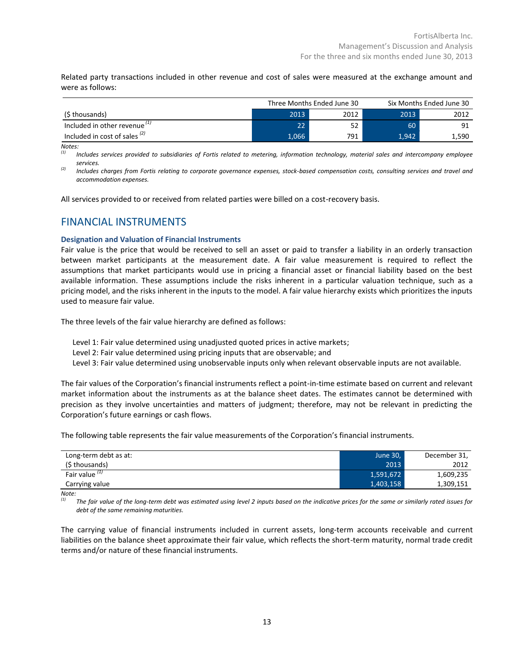Related party transactions included in other revenue and cost of sales were measured at the exchange amount and were as follows:

|                                          | Three Months Ended June 30 |      | Six Months Ended June 30 |       |
|------------------------------------------|----------------------------|------|--------------------------|-------|
| (\$ thousands)                           | 2013                       | 2012 | 2013                     | 2012  |
| Included in other revenue $11$           | $22^1$                     | 52   | 60                       | 91    |
| Included in cost of sales <sup>(2)</sup> | 1,066                      | 791  | 1.942                    | 1,590 |

*Notes:*

*(1) Includes services provided to subsidiaries of Fortis related to metering, information technology, material sales and intercompany employee services.*

*(2) Includes charges from Fortis relating to corporate governance expenses, stock-based compensation costs, consulting services and travel and accommodation expenses.*

All services provided to or received from related parties were billed on a cost-recovery basis.

# FINANCIAL INSTRUMENTS

## **Designation and Valuation of Financial Instruments**

Fair value is the price that would be received to sell an asset or paid to transfer a liability in an orderly transaction between market participants at the measurement date. A fair value measurement is required to reflect the assumptions that market participants would use in pricing a financial asset or financial liability based on the best available information. These assumptions include the risks inherent in a particular valuation technique, such as a pricing model, and the risks inherent in the inputs to the model. A fair value hierarchy exists which prioritizes the inputs used to measure fair value.

The three levels of the fair value hierarchy are defined as follows:

- Level 1: Fair value determined using unadjusted quoted prices in active markets;
- Level 2: Fair value determined using pricing inputs that are observable; and
- Level 3: Fair value determined using unobservable inputs only when relevant observable inputs are not available.

The fair values of the Corporation's financial instruments reflect a point-in-time estimate based on current and relevant market information about the instruments as at the balance sheet dates. The estimates cannot be determined with precision as they involve uncertainties and matters of judgment; therefore, may not be relevant in predicting the Corporation's future earnings or cash flows.

The following table represents the fair value measurements of the Corporation's financial instruments.

| Long-term debt as at:     | June 30,  | December 31, |
|---------------------------|-----------|--------------|
| (\$ thousands)            | 2013      | 2012         |
| Fair value <sup>(1)</sup> | 1,591,672 | 1,609,235    |
| Carrying value            | 1,403,158 | 1,309,151    |

*Note:*

*(1) The fair value of the long-term debt was estimated using level 2 inputs based on the indicative prices for the same or similarly rated issues for debt of the same remaining maturities.* 

The carrying value of financial instruments included in current assets, long-term accounts receivable and current liabilities on the balance sheet approximate their fair value, which reflects the short-term maturity, normal trade credit terms and/or nature of these financial instruments.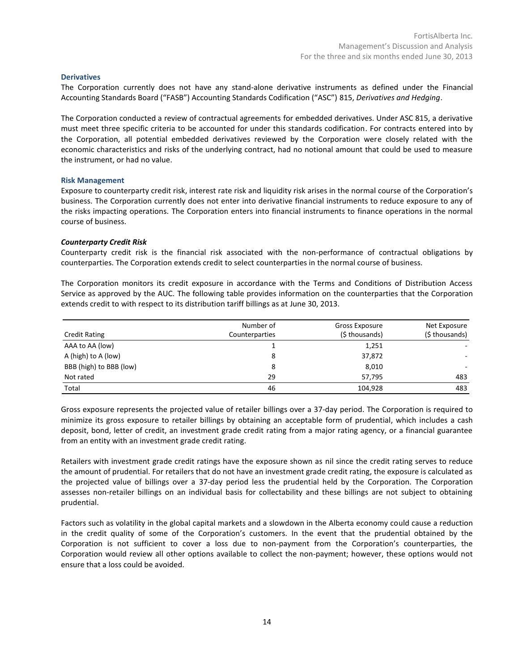## **Derivatives**

The Corporation currently does not have any stand-alone derivative instruments as defined under the Financial Accounting Standards Board ("FASB") Accounting Standards Codification ("ASC") 815, *Derivatives and Hedging*.

The Corporation conducted a review of contractual agreements for embedded derivatives. Under ASC 815, a derivative must meet three specific criteria to be accounted for under this standards codification. For contracts entered into by the Corporation, all potential embedded derivatives reviewed by the Corporation were closely related with the economic characteristics and risks of the underlying contract, had no notional amount that could be used to measure the instrument, or had no value.

## **Risk Management**

Exposure to counterparty credit risk, interest rate risk and liquidity risk arises in the normal course of the Corporation's business. The Corporation currently does not enter into derivative financial instruments to reduce exposure to any of the risks impacting operations. The Corporation enters into financial instruments to finance operations in the normal course of business.

## *Counterparty Credit Risk*

Counterparty credit risk is the financial risk associated with the non-performance of contractual obligations by counterparties. The Corporation extends credit to select counterparties in the normal course of business.

The Corporation monitors its credit exposure in accordance with the Terms and Conditions of Distribution Access Service as approved by the AUC. The following table provides information on the counterparties that the Corporation extends credit to with respect to its distribution tariff billings as at June 30, 2013.

| <b>Credit Rating</b>    | Number of<br>Counterparties | Gross Exposure<br>(\$ thousands) | Net Exposure<br>(\$ thousands) |
|-------------------------|-----------------------------|----------------------------------|--------------------------------|
| AAA to AA (low)         |                             | 1,251                            |                                |
| A (high) to A (low)     | 8                           | 37,872                           |                                |
| BBB (high) to BBB (low) | 8                           | 8,010                            |                                |
| Not rated               | 29                          | 57.795                           | 483                            |
| Total                   | 46                          | 104,928                          | 483                            |

Gross exposure represents the projected value of retailer billings over a 37-day period. The Corporation is required to minimize its gross exposure to retailer billings by obtaining an acceptable form of prudential, which includes a cash deposit, bond, letter of credit, an investment grade credit rating from a major rating agency, or a financial guarantee from an entity with an investment grade credit rating.

Retailers with investment grade credit ratings have the exposure shown as nil since the credit rating serves to reduce the amount of prudential. For retailers that do not have an investment grade credit rating, the exposure is calculated as the projected value of billings over a 37-day period less the prudential held by the Corporation. The Corporation assesses non-retailer billings on an individual basis for collectability and these billings are not subject to obtaining prudential.

Factors such as volatility in the global capital markets and a slowdown in the Alberta economy could cause a reduction in the credit quality of some of the Corporation's customers. In the event that the prudential obtained by the Corporation is not sufficient to cover a loss due to non-payment from the Corporation's counterparties, the Corporation would review all other options available to collect the non-payment; however, these options would not ensure that a loss could be avoided.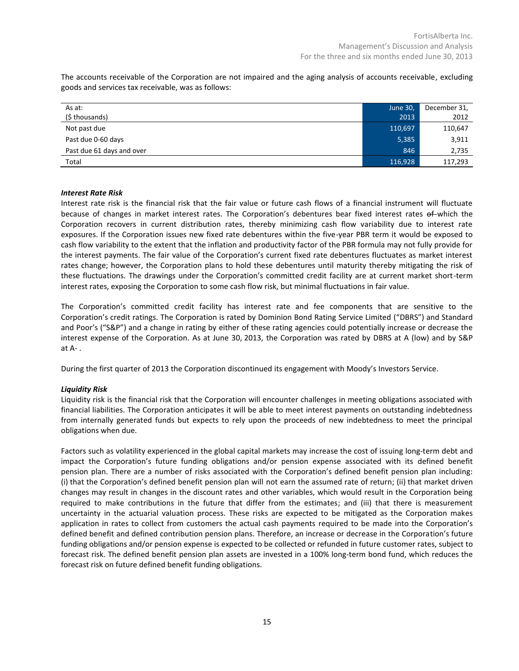The accounts receivable of the Corporation are not impaired and the aging analysis of accounts receivable, excluding goods and services tax receivable, was as follows:

| As at:                    | June 30, | December 31, |
|---------------------------|----------|--------------|
| (\$ thousands)            | 2013     | 2012         |
| Not past due              | 110,697  | 110,647      |
| Past due 0-60 days        | 5,385    | 3,911        |
| Past due 61 days and over | 846      | 2,735        |
| Total                     | 116,928  | 117,293      |

# *Interest Rate Risk*

Interest rate risk is the financial risk that the fair value or future cash flows of a financial instrument will fluctuate because of changes in market interest rates. The Corporation's debentures bear fixed interest rates of which the Corporation recovers in current distribution rates, thereby minimizing cash flow variability due to interest rate exposures. If the Corporation issues new fixed rate debentures within the five-year PBR term it would be exposed to cash flow variability to the extent that the inflation and productivity factor of the PBR formula may not fully provide for the interest payments. The fair value of the Corporation's current fixed rate debentures fluctuates as market interest rates change; however, the Corporation plans to hold these debentures until maturity thereby mitigating the risk of these fluctuations. The drawings under the Corporation's committed credit facility are at current market short-term interest rates, exposing the Corporation to some cash flow risk, but minimal fluctuations in fair value.

The Corporation's committed credit facility has interest rate and fee components that are sensitive to the Corporation's credit ratings. The Corporation is rated by Dominion Bond Rating Service Limited ("DBRS") and Standard and Poor's ("S&P") and a change in rating by either of these rating agencies could potentially increase or decrease the interest expense of the Corporation. As at June 30, 2013, the Corporation was rated by DBRS at A (low) and by S&P at A- .

During the first quarter of 2013 the Corporation discontinued its engagement with Moody's Investors Service.

## *Liquidity Risk*

Liquidity risk is the financial risk that the Corporation will encounter challenges in meeting obligations associated with financial liabilities. The Corporation anticipates it will be able to meet interest payments on outstanding indebtedness from internally generated funds but expects to rely upon the proceeds of new indebtedness to meet the principal obligations when due.

Factors such as volatility experienced in the global capital markets may increase the cost of issuing long-term debt and impact the Corporation's future funding obligations and/or pension expense associated with its defined benefit pension plan. There are a number of risks associated with the Corporation's defined benefit pension plan including: (i) that the Corporation's defined benefit pension plan will not earn the assumed rate of return; (ii) that market driven changes may result in changes in the discount rates and other variables, which would result in the Corporation being required to make contributions in the future that differ from the estimates; and (iii) that there is measurement uncertainty in the actuarial valuation process. These risks are expected to be mitigated as the Corporation makes application in rates to collect from customers the actual cash payments required to be made into the Corporation's defined benefit and defined contribution pension plans. Therefore, an increase or decrease in the Corporation's future funding obligations and/or pension expense is expected to be collected or refunded in future customer rates, subject to forecast risk. The defined benefit pension plan assets are invested in a 100% long-term bond fund, which reduces the forecast risk on future defined benefit funding obligations.